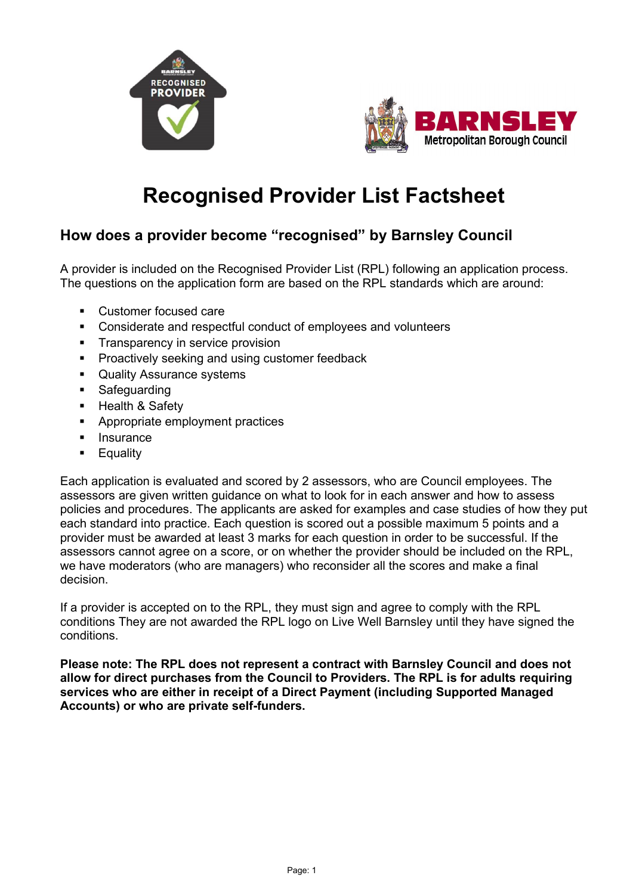



# **Recognised Provider List Factsheet**

## **How does a provider become "recognised" by Barnsley Council**

A provider is included on the Recognised Provider List (RPL) following an application process. The questions on the application form are based on the RPL standards which are around:

- Customer focused care
- Considerate and respectful conduct of employees and volunteers
- **Transparency in service provision**
- **Proactively seeking and using customer feedback**
- Quality Assurance systems
- **•** Safeguarding
- **-** Health & Safety
- **Appropriate employment practices**
- **Insurance**
- **Equality**

Each application is evaluated and scored by 2 assessors, who are Council employees. The assessors are given written guidance on what to look for in each answer and how to assess policies and procedures. The applicants are asked for examples and case studies of how they put each standard into practice. Each question is scored out a possible maximum 5 points and a provider must be awarded at least 3 marks for each question in order to be successful. If the assessors cannot agree on a score, or on whether the provider should be included on the RPL, we have moderators (who are managers) who reconsider all the scores and make a final decision.

If a provider is accepted on to the RPL, they must sign and agree to comply with the RPL conditions They are not awarded the RPL logo on Live Well Barnsley until they have signed the conditions.

**Please note: The RPL does not represent a contract with Barnsley Council and does not allow for direct purchases from the Council to Providers. The RPL is for adults requiring services who are either in receipt of a Direct Payment (including Supported Managed Accounts) or who are private self-funders.**